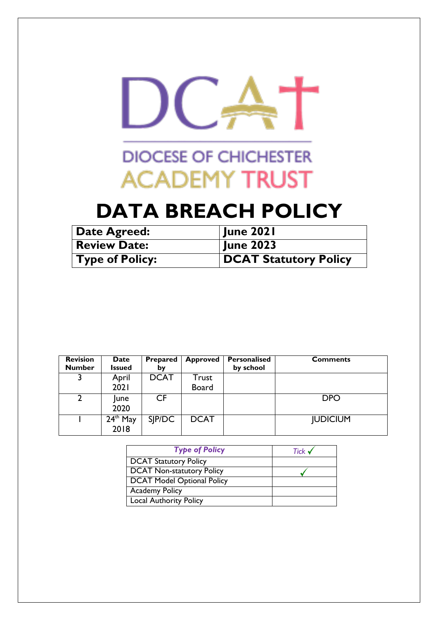

# **DIOCESE OF CHICHESTER ACADEMY TRUST**

# **DATA BREACH POLICY**

| Date Agreed:           | <b>June 2021</b>      |
|------------------------|-----------------------|
| <b>Review Date:</b>    | <b>June 2023</b>      |
| $\mid$ Type of Policy: | DCAT Statutory Policy |

| <b>Revision</b><br><b>Number</b> | <b>Date</b><br><b>Issued</b> | Prepared<br>bγ | <b>Approved</b> | Personalised<br>by school | <b>Comments</b> |
|----------------------------------|------------------------------|----------------|-----------------|---------------------------|-----------------|
|                                  | April                        | <b>DCAT</b>    | Trust           |                           |                 |
|                                  | 2021                         |                | <b>Board</b>    |                           |                 |
|                                  | lune<br>2020                 | CF             |                 |                           | <b>DPO</b>      |
|                                  | $24th$ May<br>2018           | SIP/DC         | <b>DCAT</b>     |                           | <b>JUDICIUM</b> |

| <b>Type of Policy</b>            | Tick $\checkmark$ |
|----------------------------------|-------------------|
| <b>DCAT Statutory Policy</b>     |                   |
| <b>DCAT Non-statutory Policy</b> |                   |
| DCAT Model Optional Policy       |                   |
| <b>Academy Policy</b>            |                   |
| <b>Local Authority Policy</b>    |                   |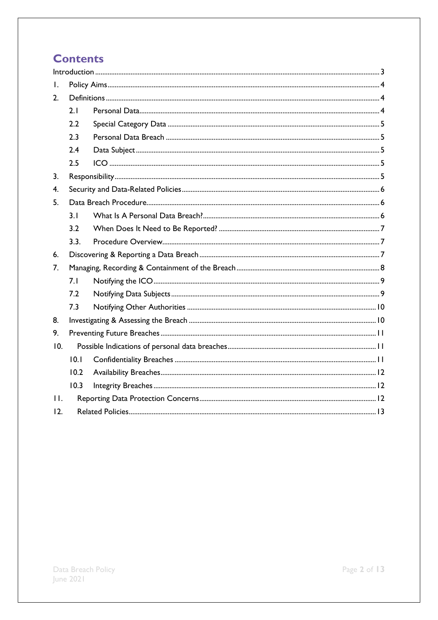# **Contents**

| L.    |                |  |  |  |  |  |  |  |
|-------|----------------|--|--|--|--|--|--|--|
| 2.    |                |  |  |  |  |  |  |  |
|       | 2.1            |  |  |  |  |  |  |  |
|       | 2.2            |  |  |  |  |  |  |  |
|       | 2.3            |  |  |  |  |  |  |  |
|       | 2.4            |  |  |  |  |  |  |  |
|       | 2.5            |  |  |  |  |  |  |  |
| 3.    |                |  |  |  |  |  |  |  |
| 4.    |                |  |  |  |  |  |  |  |
| 5.    |                |  |  |  |  |  |  |  |
|       | 3 <sub>1</sub> |  |  |  |  |  |  |  |
|       | 3.2            |  |  |  |  |  |  |  |
|       | 3.3.           |  |  |  |  |  |  |  |
| 6.    |                |  |  |  |  |  |  |  |
| 7.    |                |  |  |  |  |  |  |  |
|       | 7.1            |  |  |  |  |  |  |  |
|       | 7.2            |  |  |  |  |  |  |  |
|       | 7.3            |  |  |  |  |  |  |  |
| 8.    |                |  |  |  |  |  |  |  |
| 9.    |                |  |  |  |  |  |  |  |
| 10.   |                |  |  |  |  |  |  |  |
|       | 10.1           |  |  |  |  |  |  |  |
|       | 10.2           |  |  |  |  |  |  |  |
|       | 10.3           |  |  |  |  |  |  |  |
| $H$ . |                |  |  |  |  |  |  |  |
| 12.   |                |  |  |  |  |  |  |  |
|       |                |  |  |  |  |  |  |  |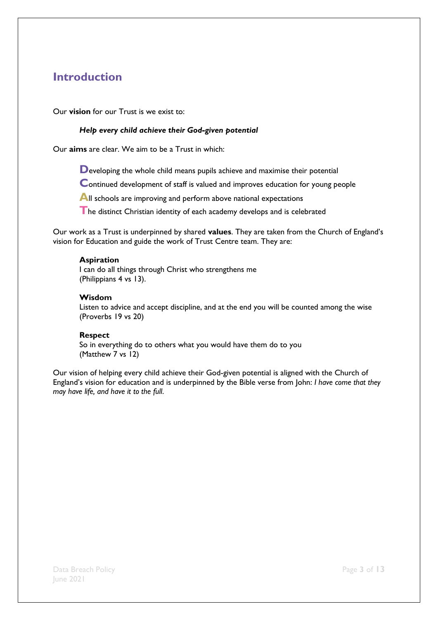## <span id="page-2-0"></span>**Introduction**

Our **vision** for our Trust is we exist to:

#### *Help every child achieve their God-given potential*

Our **aims** are clear. We aim to be a Trust in which:

**D**eveloping the whole child means pupils achieve and maximise their potential

**C**ontinued development of staff is valued and improves education for young people

All schools are improving and perform above national expectations

**T**he distinct Christian identity of each academy develops and is celebrated

Our work as a Trust is underpinned by shared **values**. They are taken from the Church of England's vision for Education and guide the work of Trust Centre team. They are:

#### **Aspiration**

I can do all things through Christ who strengthens me (Philippians 4 vs 13).

#### **Wisdom**

Listen to advice and accept discipline, and at the end you will be counted among the wise (Proverbs 19 vs 20)

#### **Respect**

So in everything do to others what you would have them do to you (Matthew 7 vs 12)

Our vision of helping every child achieve their God-given potential is aligned with the Church of England's vision for education and is underpinned by the Bible verse from John: *I have come that they may have life, and have it to the full*.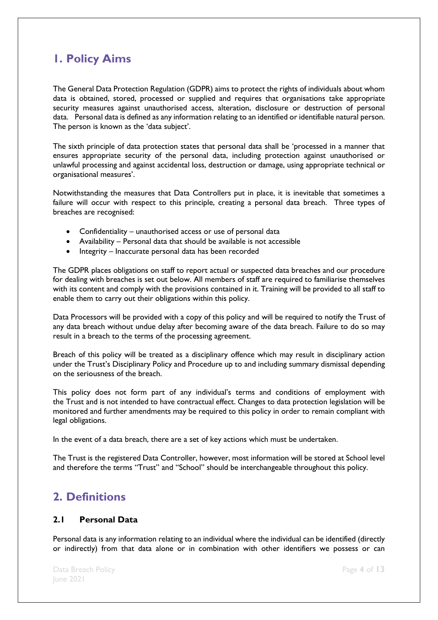## <span id="page-3-0"></span>**1. Policy Aims**

The General Data Protection Regulation (GDPR) aims to protect the rights of individuals about whom data is obtained, stored, processed or supplied and requires that organisations take appropriate security measures against unauthorised access, alteration, disclosure or destruction of personal data. Personal data is defined as any information relating to an identified or identifiable natural person. The person is known as the 'data subject'.

The sixth principle of data protection states that personal data shall be 'processed in a manner that ensures appropriate security of the personal data, including protection against unauthorised or unlawful processing and against accidental loss, destruction or damage, using appropriate technical or organisational measures'.

Notwithstanding the measures that Data Controllers put in place, it is inevitable that sometimes a failure will occur with respect to this principle, creating a personal data breach. Three types of breaches are recognised:

- Confidentiality unauthorised access or use of personal data
- Availability Personal data that should be available is not accessible
- Integrity Inaccurate personal data has been recorded

The GDPR places obligations on staff to report actual or suspected data breaches and our procedure for dealing with breaches is set out below. All members of staff are required to familiarise themselves with its content and comply with the provisions contained in it. Training will be provided to all staff to enable them to carry out their obligations within this policy.

Data Processors will be provided with a copy of this policy and will be required to notify the Trust of any data breach without undue delay after becoming aware of the data breach. Failure to do so may result in a breach to the terms of the processing agreement.

Breach of this policy will be treated as a disciplinary offence which may result in disciplinary action under the Trust's Disciplinary Policy and Procedure up to and including summary dismissal depending on the seriousness of the breach.

This policy does not form part of any individual's terms and conditions of employment with the Trust and is not intended to have contractual effect. Changes to data protection legislation will be monitored and further amendments may be required to this policy in order to remain compliant with legal obligations.

In the event of a data breach, there are a set of key actions which must be undertaken.

The Trust is the registered Data Controller, however, most information will be stored at School level and therefore the terms "Trust" and "School" should be interchangeable throughout this policy.

### <span id="page-3-1"></span>**2. Definitions**

### <span id="page-3-2"></span>**2.1 Personal Data**

Personal data is any information relating to an individual where the individual can be identified (directly or indirectly) from that data alone or in combination with other identifiers we possess or can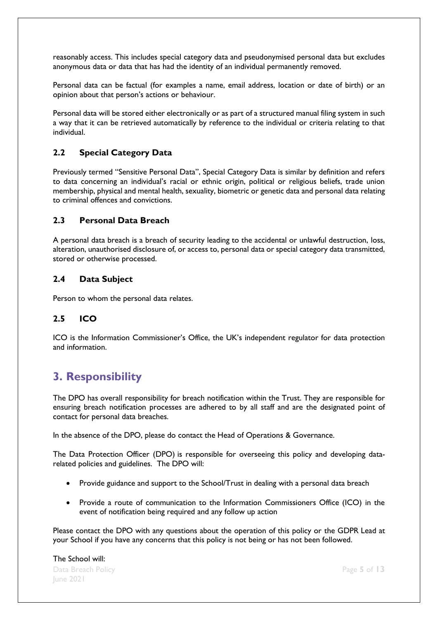reasonably access. This includes special category data and pseudonymised personal data but excludes anonymous data or data that has had the identity of an individual permanently removed.

Personal data can be factual (for examples a name, email address, location or date of birth) or an opinion about that person's actions or behaviour.

Personal data will be stored either electronically or as part of a structured manual filing system in such a way that it can be retrieved automatically by reference to the individual or criteria relating to that individual.

### <span id="page-4-0"></span>**2.2 Special Category Data**

Previously termed "Sensitive Personal Data", Special Category Data is similar by definition and refers to data concerning an individual's racial or ethnic origin, political or religious beliefs, trade union membership, physical and mental health, sexuality, biometric or genetic data and personal data relating to criminal offences and convictions.

#### <span id="page-4-1"></span>**2.3 Personal Data Breach**

A personal data breach is a breach of security leading to the accidental or unlawful destruction, loss, alteration, unauthorised disclosure of, or access to, personal data or special category data transmitted, stored or otherwise processed.

### <span id="page-4-2"></span>**2.4 Data Subject**

Person to whom the personal data relates.

### <span id="page-4-3"></span>**2.5 ICO**

ICO is the Information Commissioner's Office, the UK's independent regulator for data protection and information.

### <span id="page-4-4"></span>**3. Responsibility**

The DPO has overall responsibility for breach notification within the Trust. They are responsible for ensuring breach notification processes are adhered to by all staff and are the designated point of contact for personal data breaches.

In the absence of the DPO, please do contact the Head of Operations & Governance.

The Data Protection Officer (DPO) is responsible for overseeing this policy and developing datarelated policies and guidelines. The DPO will:

- Provide guidance and support to the School/Trust in dealing with a personal data breach
- Provide a route of communication to the Information Commissioners Office (ICO) in the event of notification being required and any follow up action

Please contact the DPO with any questions about the operation of this policy or the GDPR Lead at your School if you have any concerns that this policy is not being or has not been followed.

Data Breach Policy Page **5** of **13** June 2021 The School will: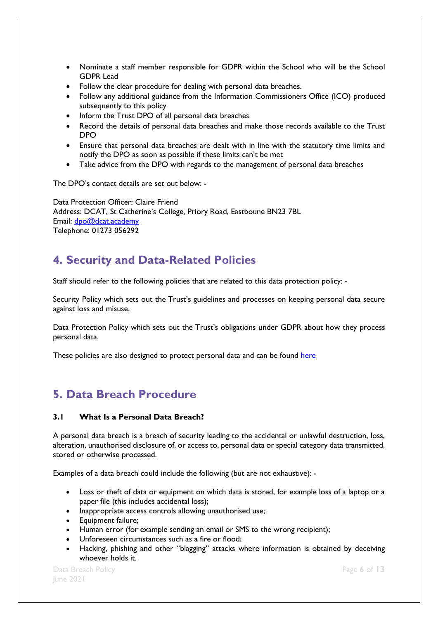- Nominate a staff member responsible for GDPR within the School who will be the School GDPR Lead
- Follow the clear procedure for dealing with personal data breaches.
- Follow any additional guidance from the Information Commissioners Office (ICO) produced subsequently to this policy
- Inform the Trust DPO of all personal data breaches
- Record the details of personal data breaches and make those records available to the Trust DPO
- Ensure that personal data breaches are dealt with in line with the statutory time limits and notify the DPO as soon as possible if these limits can't be met
- Take advice from the DPO with regards to the management of personal data breaches

The DPO's contact details are set out below: -

Data Protection Officer: Claire Friend Address: DCAT, St Catherine's College, Priory Road, Eastboune BN23 7BL Email: [dpo@dcat.academy](mailto:dpo@dcat.academy) Telephone: 01273 056292

### <span id="page-5-0"></span>**4. Security and Data-Related Policies**

Staff should refer to the following policies that are related to this data protection policy: -

Security Policy which sets out the Trust's guidelines and processes on keeping personal data secure against loss and misuse.

Data Protection Policy which sets out the Trust's obligations under GDPR about how they process personal data.

These policies are also designed to protect personal data and can be found [here](https://dcatacademy.sharepoint.com/:f:/g/Em3f_Wyn7rRGodmL-6TymqUB__1IZwgsnMZkpzaXsYZc7Q?e=kW3YjL)

### <span id="page-5-1"></span>**5. Data Breach Procedure**

### <span id="page-5-2"></span>**3.1 What Is a Personal Data Breach?**

A personal data breach is a breach of security leading to the accidental or unlawful destruction, loss, alteration, unauthorised disclosure of, or access to, personal data or special category data transmitted, stored or otherwise processed.

Examples of a data breach could include the following (but are not exhaustive): -

- Loss or theft of data or equipment on which data is stored, for example loss of a laptop or a paper file (this includes accidental loss);
- Inappropriate access controls allowing unauthorised use;
- Equipment failure;
- Human error (for example sending an email or SMS to the wrong recipient);
- Unforeseen circumstances such as a fire or flood;
- Hacking, phishing and other "blagging" attacks where information is obtained by deceiving whoever holds it.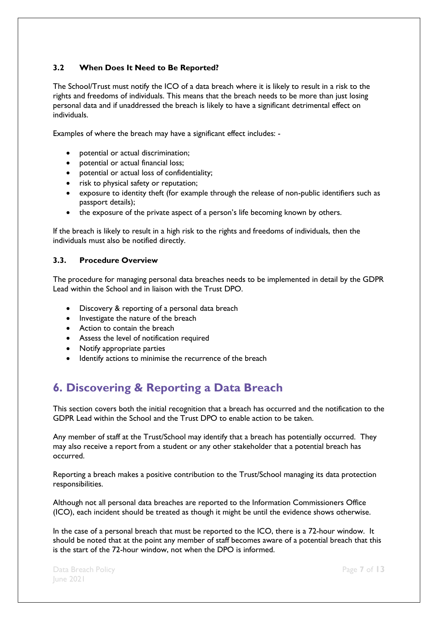### <span id="page-6-0"></span>**3.2 When Does It Need to Be Reported?**

The School/Trust must notify the ICO of a data breach where it is likely to result in a risk to the rights and freedoms of individuals. This means that the breach needs to be more than just losing personal data and if unaddressed the breach is likely to have a significant detrimental effect on individuals.

Examples of where the breach may have a significant effect includes: -

- potential or actual discrimination;
- potential or actual financial loss;
- potential or actual loss of confidentiality;
- risk to physical safety or reputation;
- exposure to identity theft (for example through the release of non-public identifiers such as passport details);
- the exposure of the private aspect of a person's life becoming known by others.

If the breach is likely to result in a high risk to the rights and freedoms of individuals, then the individuals must also be notified directly.

#### <span id="page-6-1"></span>**3.3. Procedure Overview**

The procedure for managing personal data breaches needs to be implemented in detail by the GDPR Lead within the School and in liaison with the Trust DPO.

- Discovery & reporting of a personal data breach
- Investigate the nature of the breach
- Action to contain the breach
- Assess the level of notification required
- Notify appropriate parties
- $\bullet$  Identify actions to minimise the recurrence of the breach

# <span id="page-6-2"></span>**6. Discovering & Reporting a Data Breach**

This section covers both the initial recognition that a breach has occurred and the notification to the GDPR Lead within the School and the Trust DPO to enable action to be taken.

Any member of staff at the Trust/School may identify that a breach has potentially occurred. They may also receive a report from a student or any other stakeholder that a potential breach has occurred.

Reporting a breach makes a positive contribution to the Trust/School managing its data protection responsibilities.

Although not all personal data breaches are reported to the Information Commissioners Office (ICO), each incident should be treated as though it might be until the evidence shows otherwise.

In the case of a personal breach that must be reported to the ICO, there is a 72-hour window. It should be noted that at the point any member of staff becomes aware of a potential breach that this is the start of the 72-hour window, not when the DPO is informed.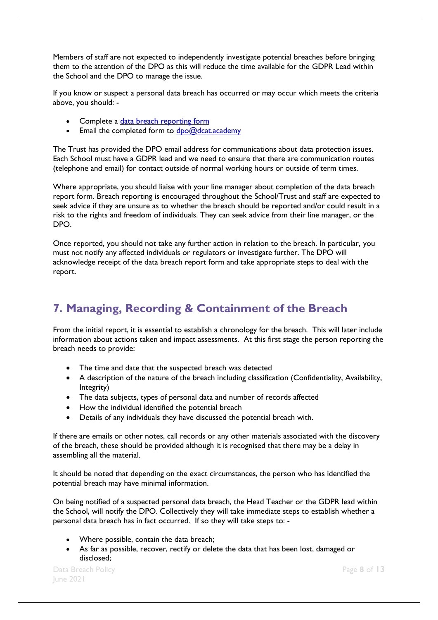Members of staff are not expected to independently investigate potential breaches before bringing them to the attention of the DPO as this will reduce the time available for the GDPR Lead within the School and the DPO to manage the issue.

If you know or suspect a personal data breach has occurred or may occur which meets the criteria above, you should: -

- Complete a [data breach reporting form](https://forms.office.com/Pages/ResponsePage.aspx?id=kn1RkxfBX0W6z2BEZFHCnWwHQj61U6VHjrtEgWrK-ldUN0hZV0I2RTFQQUVaUjRUQ1A2UERWR1lWNS4u)
- Email the completed form to  $\frac{dpo@dcat.academy}{dce@dcat.academy}$

The Trust has provided the DPO email address for communications about data protection issues. Each School must have a GDPR lead and we need to ensure that there are communication routes (telephone and email) for contact outside of normal working hours or outside of term times.

Where appropriate, you should liaise with your line manager about completion of the data breach report form. Breach reporting is encouraged throughout the School/Trust and staff are expected to seek advice if they are unsure as to whether the breach should be reported and/or could result in a risk to the rights and freedom of individuals. They can seek advice from their line manager, or the DPO.

Once reported, you should not take any further action in relation to the breach. In particular, you must not notify any affected individuals or regulators or investigate further. The DPO will acknowledge receipt of the data breach report form and take appropriate steps to deal with the report.

## <span id="page-7-0"></span>**7. Managing, Recording & Containment of the Breach**

From the initial report, it is essential to establish a chronology for the breach. This will later include information about actions taken and impact assessments. At this first stage the person reporting the breach needs to provide:

- The time and date that the suspected breach was detected
- A description of the nature of the breach including classification (Confidentiality, Availability, Integrity)
- The data subjects, types of personal data and number of records affected
- How the individual identified the potential breach
- Details of any individuals they have discussed the potential breach with.

If there are emails or other notes, call records or any other materials associated with the discovery of the breach, these should be provided although it is recognised that there may be a delay in assembling all the material.

It should be noted that depending on the exact circumstances, the person who has identified the potential breach may have minimal information.

On being notified of a suspected personal data breach, the Head Teacher or the GDPR lead within the School, will notify the DPO. Collectively they will take immediate steps to establish whether a personal data breach has in fact occurred. If so they will take steps to: -

- Where possible, contain the data breach;
- As far as possible, recover, rectify or delete the data that has been lost, damaged or disclosed;

Data Breach Policy Page **8** of **13** June 2021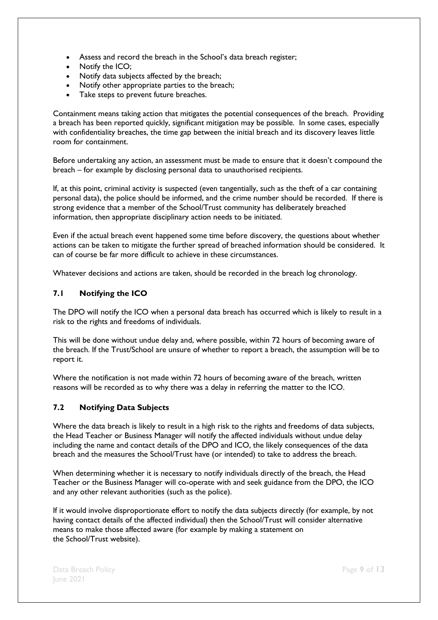- Assess and record the breach in the School's data breach register;
- Notify the ICO:
- Notify data subjects affected by the breach;
- Notify other appropriate parties to the breach;
- Take steps to prevent future breaches.

Containment means taking action that mitigates the potential consequences of the breach. Providing a breach has been reported quickly, significant mitigation may be possible. In some cases, especially with confidentiality breaches, the time gap between the initial breach and its discovery leaves little room for containment.

Before undertaking any action, an assessment must be made to ensure that it doesn't compound the breach – for example by disclosing personal data to unauthorised recipients.

If, at this point, criminal activity is suspected (even tangentially, such as the theft of a car containing personal data), the police should be informed, and the crime number should be recorded. If there is strong evidence that a member of the School/Trust community has deliberately breached information, then appropriate disciplinary action needs to be initiated.

Even if the actual breach event happened some time before discovery, the questions about whether actions can be taken to mitigate the further spread of breached information should be considered. It can of course be far more difficult to achieve in these circumstances.

Whatever decisions and actions are taken, should be recorded in the breach log chronology.

#### <span id="page-8-0"></span>**7.1 Notifying the ICO**

The DPO will notify the ICO when a personal data breach has occurred which is likely to result in a risk to the rights and freedoms of individuals.

This will be done without undue delay and, where possible, within 72 hours of becoming aware of the breach. If the Trust/School are unsure of whether to report a breach, the assumption will be to report it.

Where the notification is not made within 72 hours of becoming aware of the breach, written reasons will be recorded as to why there was a delay in referring the matter to the ICO.

#### <span id="page-8-1"></span>**7.2 Notifying Data Subjects**

Where the data breach is likely to result in a high risk to the rights and freedoms of data subjects, the Head Teacher or Business Manager will notify the affected individuals without undue delay including the name and contact details of the DPO and ICO, the likely consequences of the data breach and the measures the School/Trust have (or intended) to take to address the breach.

When determining whether it is necessary to notify individuals directly of the breach, the Head Teacher or the Business Manager will co-operate with and seek guidance from the DPO, the ICO and any other relevant authorities (such as the police).

If it would involve disproportionate effort to notify the data subjects directly (for example, by not having contact details of the affected individual) then the School/Trust will consider alternative means to make those affected aware (for example by making a statement on the School/Trust website).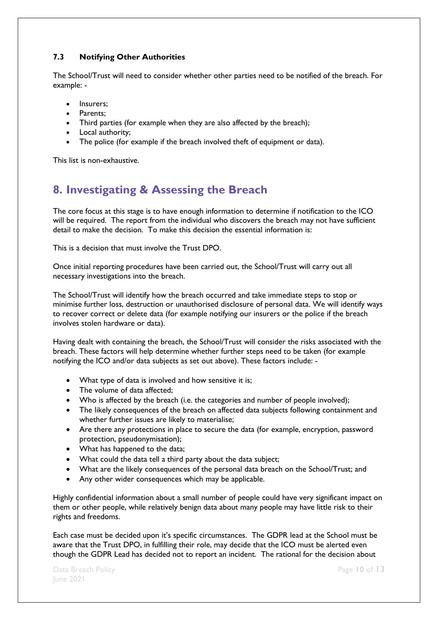### <span id="page-9-0"></span>**7.3 Notifying Other Authorities**

The School/Trust will need to consider whether other parties need to be notified of the breach. For example: -

- Insurers:
- Parents:
- Third parties (for example when they are also affected by the breach);
- Local authority:
- The police (for example if the breach involved theft of equipment or data).

This list is non-exhaustive.

## <span id="page-9-1"></span>**8. Investigating & Assessing the Breach**

The core focus at this stage is to have enough information to determine if notification to the ICO will be required. The report from the individual who discovers the breach may not have sufficient detail to make the decision. To make this decision the essential information is:

This is a decision that must involve the Trust DPO.

Once initial reporting procedures have been carried out, the School/Trust will carry out all necessary investigations into the breach.

The School/Trust will identify how the breach occurred and take immediate steps to stop or minimise further loss, destruction or unauthorised disclosure of personal data. We will identify ways to recover correct or delete data (for example notifying our insurers or the police if the breach involves stolen hardware or data).

Having dealt with containing the breach, the School/Trust will consider the risks associated with the breach. These factors will help determine whether further steps need to be taken (for example notifying the ICO and/or data subjects as set out above). These factors include: -

- What type of data is involved and how sensitive it is:
- The volume of data affected:
- Who is affected by the breach (i.e. the categories and number of people involved);
- The likely consequences of the breach on affected data subjects following containment and whether further issues are likely to materialise;
- Are there any protections in place to secure the data (for example, encryption, password protection, pseudonymisation);
- What has happened to the data;
- What could the data tell a third party about the data subject;
- What are the likely consequences of the personal data breach on the School/Trust; and
- Any other wider consequences which may be applicable.

Highly confidential information about a small number of people could have very significant impact on them or other people, while relatively benign data about many people may have little risk to their rights and freedoms.

Each case must be decided upon it's specific circumstances. The GDPR lead at the School must be aware that the Trust DPO, in fulfilling their role, may decide that the ICO must be alerted even though the GDPR Lead has decided not to report an incident. The rational for the decision about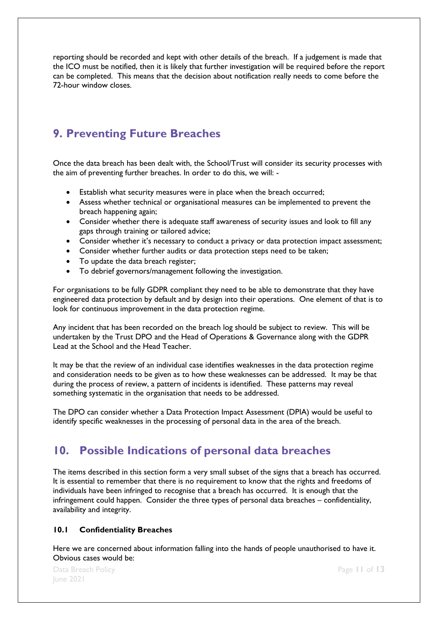reporting should be recorded and kept with other details of the breach. If a judgement is made that the ICO must be notified, then it is likely that further investigation will be required before the report can be completed. This means that the decision about notification really needs to come before the 72-hour window closes.

## <span id="page-10-0"></span>**9. Preventing Future Breaches**

Once the data breach has been dealt with, the School/Trust will consider its security processes with the aim of preventing further breaches. In order to do this, we will: -

- Establish what security measures were in place when the breach occurred;
- Assess whether technical or organisational measures can be implemented to prevent the breach happening again;
- Consider whether there is adequate staff awareness of security issues and look to fill any gaps through training or tailored advice;
- Consider whether it's necessary to conduct a privacy or data protection impact assessment;
- Consider whether further audits or data protection steps need to be taken;
- To update the data breach register;
- To debrief governors/management following the investigation.

For organisations to be fully GDPR compliant they need to be able to demonstrate that they have engineered data protection by default and by design into their operations. One element of that is to look for continuous improvement in the data protection regime.

Any incident that has been recorded on the breach log should be subject to review. This will be undertaken by the Trust DPO and the Head of Operations & Governance along with the GDPR Lead at the School and the Head Teacher.

It may be that the review of an individual case identifies weaknesses in the data protection regime and consideration needs to be given as to how these weaknesses can be addressed. It may be that during the process of review, a pattern of incidents is identified. These patterns may reveal something systematic in the organisation that needs to be addressed.

The DPO can consider whether a Data Protection Impact Assessment (DPIA) would be useful to identify specific weaknesses in the processing of personal data in the area of the breach.

### <span id="page-10-1"></span>**10. Possible Indications of personal data breaches**

The items described in this section form a very small subset of the signs that a breach has occurred. It is essential to remember that there is no requirement to know that the rights and freedoms of individuals have been infringed to recognise that a breach has occurred. It is enough that the infringement could happen. Consider the three types of personal data breaches – confidentiality, availability and integrity.

#### <span id="page-10-2"></span>**10.1 Confidentiality Breaches**

Here we are concerned about information falling into the hands of people unauthorised to have it. Obvious cases would be: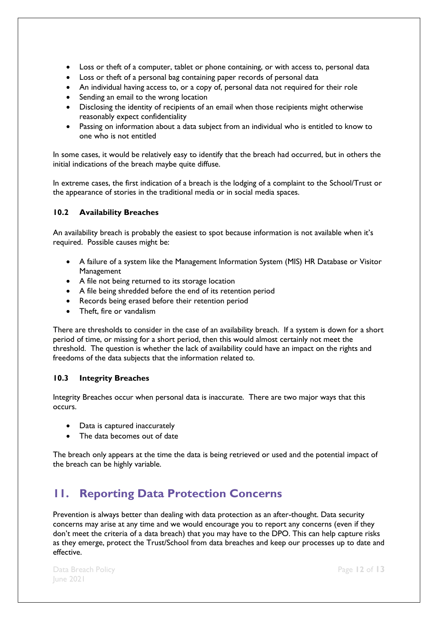- Loss or theft of a computer, tablet or phone containing, or with access to, personal data
- Loss or theft of a personal bag containing paper records of personal data
- An individual having access to, or a copy of, personal data not required for their role
- Sending an email to the wrong location
- Disclosing the identity of recipients of an email when those recipients might otherwise reasonably expect confidentiality
- Passing on information about a data subject from an individual who is entitled to know to one who is not entitled

In some cases, it would be relatively easy to identify that the breach had occurred, but in others the initial indications of the breach maybe quite diffuse.

In extreme cases, the first indication of a breach is the lodging of a complaint to the School/Trust or the appearance of stories in the traditional media or in social media spaces.

#### <span id="page-11-0"></span>**10.2 Availability Breaches**

An availability breach is probably the easiest to spot because information is not available when it's required. Possible causes might be:

- A failure of a system like the Management Information System (MIS) HR Database or Visitor Management
- A file not being returned to its storage location
- A file being shredded before the end of its retention period
- Records being erased before their retention period
- Theft, fire or vandalism

There are thresholds to consider in the case of an availability breach. If a system is down for a short period of time, or missing for a short period, then this would almost certainly not meet the threshold. The question is whether the lack of availability could have an impact on the rights and freedoms of the data subjects that the information related to.

#### <span id="page-11-1"></span>**10.3 Integrity Breaches**

Integrity Breaches occur when personal data is inaccurate. There are two major ways that this occurs.

- Data is captured inaccurately
- The data becomes out of date

The breach only appears at the time the data is being retrieved or used and the potential impact of the breach can be highly variable.

# <span id="page-11-2"></span>**11. Reporting Data Protection Concerns**

Prevention is always better than dealing with data protection as an after-thought. Data security concerns may arise at any time and we would encourage you to report any concerns (even if they don't meet the criteria of a data breach) that you may have to the DPO. This can help capture risks as they emerge, protect the Trust/School from data breaches and keep our processes up to date and effective.